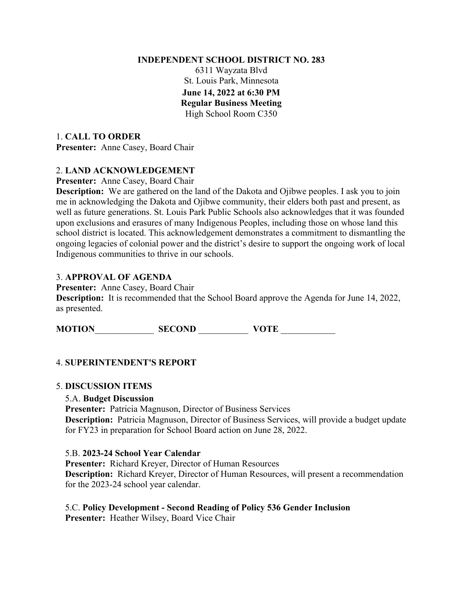#### **INDEPENDENT SCHOOL DISTRICT NO. 283**

6311 Wayzata Blvd St. Louis Park, Minnesota **June 14, 2022 at 6:30 PM Regular Business Meeting** High School Room C350

1. **CALL TO ORDER Presenter:** Anne Casey, Board Chair

# 2. **LAND ACKNOWLEDGEMENT**

**Presenter:** Anne Casey, Board Chair

**Description:** We are gathered on the land of the Dakota and Ojibwe peoples. I ask you to join me in acknowledging the Dakota and Ojibwe community, their elders both past and present, as well as future generations. St. Louis Park Public Schools also acknowledges that it was founded upon exclusions and erasures of many Indigenous Peoples, including those on whose land this school district is located. This acknowledgement demonstrates a commitment to dismantling the ongoing legacies of colonial power and the district's desire to support the ongoing work of local Indigenous communities to thrive in our schools.

# 3. **APPROVAL OF AGENDA**

**Presenter:** Anne Casey, Board Chair

**Description:** It is recommended that the School Board approve the Agenda for June 14, 2022, as presented.

**MOTION**\_\_\_\_\_\_\_\_\_\_\_\_\_ **SECOND** \_\_\_\_\_\_\_\_\_\_\_ **VOTE** \_\_\_\_\_\_\_\_\_\_\_\_

# 4. **SUPERINTENDENT'S REPORT**

# 5. **DISCUSSION ITEMS**

### 5.A. **Budget Discussion**

**Presenter:** Patricia Magnuson, Director of Business Services **Description:** Patricia Magnuson, Director of Business Services, will provide a budget update for FY23 in preparation for School Board action on June 28, 2022.

### 5.B. **2023-24 School Year Calendar**

**Presenter:** Richard Kreyer, Director of Human Resources **Description:** Richard Kreyer, Director of Human Resources, will present a recommendation for the 2023-24 school year calendar.

# 5.C. **Policy Development - Second Reading of Policy 536 Gender Inclusion**

**Presenter:** Heather Wilsey, Board Vice Chair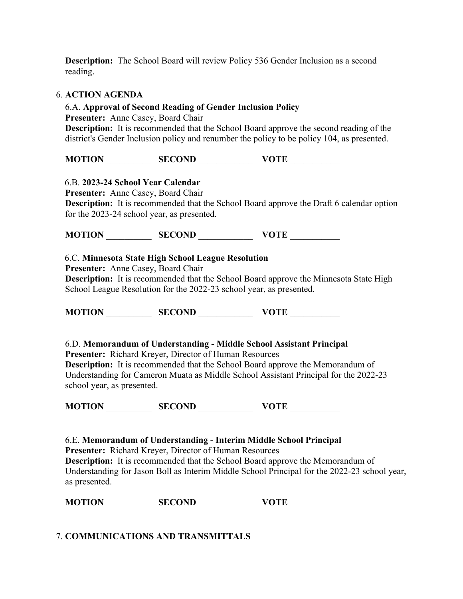**Description:** The School Board will review Policy 536 Gender Inclusion as a second reading.

#### 6. **ACTION AGENDA**

#### 6.A. **Approval of Second Reading of Gender Inclusion Policy**

**Presenter:** Anne Casey, Board Chair

**Description:** It is recommended that the School Board approve the second reading of the district's Gender Inclusion policy and renumber the policy to be policy 104, as presented.

**MOTION** \_\_\_\_\_\_\_\_\_\_ **SECOND** \_\_\_\_\_\_\_\_\_\_\_\_ **VOTE** \_\_\_\_\_\_\_\_\_\_\_

### 6.B. **2023-24 School Year Calendar**

**Presenter:** Anne Casey, Board Chair

**Description:** It is recommended that the School Board approve the Draft 6 calendar option for the 2023-24 school year, as presented.

**MOTION** \_\_\_\_\_\_\_\_\_\_ **SECOND** \_\_\_\_\_\_\_\_\_\_\_\_ **VOTE** \_\_\_\_\_\_\_\_\_\_\_

### 6.C. **Minnesota State High School League Resolution**

**Presenter:** Anne Casey, Board Chair

**Description:** It is recommended that the School Board approve the Minnesota State High School League Resolution for the 2022-23 school year, as presented.

**MOTION** \_\_\_\_\_\_\_\_\_\_ **SECOND** \_\_\_\_\_\_\_\_\_\_\_\_ **VOTE** \_\_\_\_\_\_\_\_\_\_\_

### 6.D. **Memorandum of Understanding - Middle School Assistant Principal**

**Presenter:** Richard Kreyer, Director of Human Resources

**Description:** It is recommended that the School Board approve the Memorandum of Understanding for Cameron Muata as Middle School Assistant Principal for the 2022-23 school year, as presented.

**MOTION** \_\_\_\_\_\_\_\_\_\_ **SECOND** \_\_\_\_\_\_\_\_\_\_\_\_ **VOTE** \_\_\_\_\_\_\_\_\_\_\_

6.E. **Memorandum of Understanding - Interim Middle School Principal Presenter:** Richard Kreyer, Director of Human Resources **Description:** It is recommended that the School Board approve the Memorandum of Understanding for Jason Boll as Interim Middle School Principal for the 2022-23 school year, as presented.

**MOTION** \_\_\_\_\_\_\_\_\_\_ **SECOND** \_\_\_\_\_\_\_\_\_\_\_\_ **VOTE** \_\_\_\_\_\_\_\_\_\_\_

7. **COMMUNICATIONS AND TRANSMITTALS**